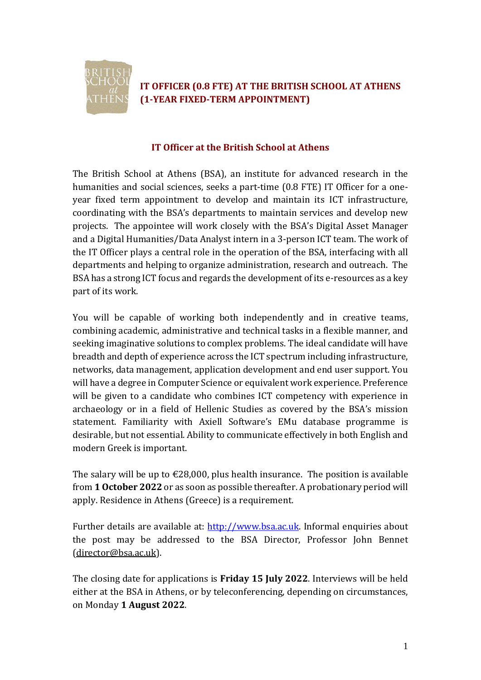

## **IT OFFICER (0.8 FTE) AT THE BRITISH SCHOOL AT ATHENS (1-YEAR FIXED-TERM APPOINTMENT)**

#### **IT Officer at the British School at Athens**

The British School at Athens (BSA), an institute for advanced research in the humanities and social sciences, seeks a part-time (0.8 FTE) IT Officer for a oneyear fixed term appointment to develop and maintain its ICT infrastructure, coordinating with the BSA's departments to maintain services and develop new projects. The appointee will work closely with the BSA's Digital Asset Manager and a Digital Humanities/Data Analyst intern in a 3-person ICT team. The work of the IT Officer plays a central role in the operation of the BSA, interfacing with all departments and helping to organize administration, research and outreach. The BSA has a strong ICT focus and regards the development of its e-resources as a key part of its work.

You will be capable of working both independently and in creative teams, combining academic, administrative and technical tasks in a flexible manner, and seeking imaginative solutions to complex problems. The ideal candidate will have breadth and depth of experience across the ICT spectrum including infrastructure, networks, data management, application development and end user support. You will have a degree in Computer Science or equivalent work experience. Preference will be given to a candidate who combines ICT competency with experience in archaeology or in a field of Hellenic Studies as covered by the BSA's mission statement. Familiarity with Axiell Software's EMu database programme is desirable, but not essential. Ability to communicate effectively in both English and modern Greek is important.

The salary will be up to  $\epsilon$ 28,000, plus health insurance. The position is available from **1 October 2022** or as soon as possible thereafter. A probationary period will apply. Residence in Athens (Greece) is a requirement.

Further details are available at: [http://www.bsa.ac.uk.](http://www.bsa.ac.uk/) Informal enquiries about the post may be addressed to the BSA Director, Professor John Bennet [\(director@bsa.ac.uk\)](mailto:director@bsa.ac.uk).

The closing date for applications is **Friday 15 July 2022**. Interviews will be held either at the BSA in Athens, or by teleconferencing, depending on circumstances, on Monday **1 August 2022**.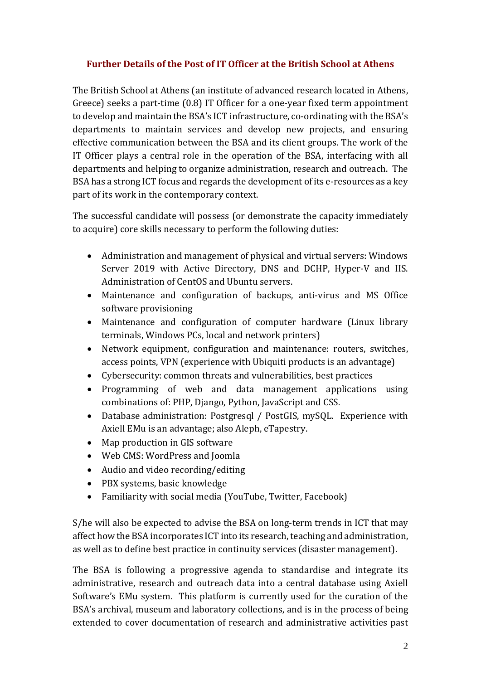### **Further Details of the Post of IT Officer at the British School at Athens**

The British School at Athens (an institute of advanced research located in Athens, Greece) seeks a part-time (0.8) IT Officer for a one-year fixed term appointment to develop and maintain the BSA's ICT infrastructure, co-ordinating with the BSA's departments to maintain services and develop new projects, and ensuring effective communication between the BSA and its client groups. The work of the IT Officer plays a central role in the operation of the BSA, interfacing with all departments and helping to organize administration, research and outreach. The BSA has a strong ICT focus and regards the development of its e-resources as a key part of its work in the contemporary context.

The successful candidate will possess (or demonstrate the capacity immediately to acquire) core skills necessary to perform the following duties:

- Administration and management of physical and virtual servers: Windows Server 2019 with Active Directory, DNS and DCHP, Hyper-V and IIS. Administration of CentOS and Ubuntu servers.
- Maintenance and configuration of backups, anti-virus and MS Office software provisioning
- Maintenance and configuration of computer hardware (Linux library terminals, Windows PCs, local and network printers)
- Network equipment, configuration and maintenance: routers, switches, access points, VPN (experience with Ubiquiti products is an advantage)
- Cybersecurity: common threats and vulnerabilities, best practices
- Programming of web and data management applications using combinations of: PHP, Django, Python, JavaScript and CSS.
- Database administration: Postgresql / PostGIS, mySQL. Experience with Axiell EMu is an advantage; also Aleph, eTapestry.
- Map production in GIS software
- Web CMS: WordPress and Joomla
- Audio and video recording/editing
- PBX systems, basic knowledge
- Familiarity with social media (YouTube, Twitter, Facebook)

S/he will also be expected to advise the BSA on long-term trends in ICT that may affect how the BSA incorporates ICT into its research, teaching and administration, as well as to define best practice in continuity services (disaster management).

The BSA is following a progressive agenda to standardise and integrate its administrative, research and outreach data into a central database using Axiell Software's EMu system. This platform is currently used for the curation of the BSA's archival, museum and laboratory collections, and is in the process of being extended to cover documentation of research and administrative activities past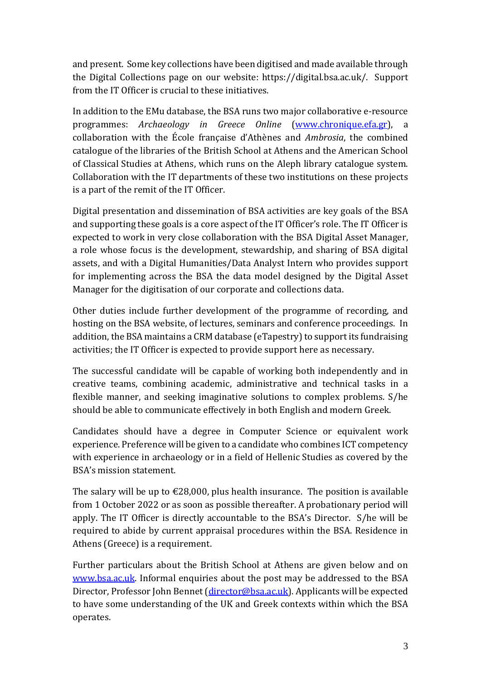and present. Some key collections have been digitised and made available through the Digital Collections page on our website: https://digital.bsa.ac.uk/. Support from the IT Officer is crucial to these initiatives.

In addition to the EMu database, the BSA runs two major collaborative e-resource programmes: *Archaeology in Greece Online* [\(www.chronique.efa.gr\)](http://www.chronique.efa.gr/), a collaboration with the École française d'Athènes and *Ambrosia*, the combined catalogue of the libraries of the British School at Athens and the American School of Classical Studies at Athens, which runs on the Aleph library catalogue system. Collaboration with the IT departments of these two institutions on these projects is a part of the remit of the IT Officer.

Digital presentation and dissemination of BSA activities are key goals of the BSA and supporting these goals is a core aspect of the IT Officer's role. The IT Officer is expected to work in very close collaboration with the BSA Digital Asset Manager, a role whose focus is the development, stewardship, and sharing of BSA digital assets, and with a Digital Humanities/Data Analyst Intern who provides support for implementing across the BSA the data model designed by the Digital Asset Manager for the digitisation of our corporate and collections data.

Other duties include further development of the programme of recording, and hosting on the BSA website, of lectures, seminars and conference proceedings. In addition, the BSA maintains a CRM database (eTapestry) to support its fundraising activities; the IT Officer is expected to provide support here as necessary.

The successful candidate will be capable of working both independently and in creative teams, combining academic, administrative and technical tasks in a flexible manner, and seeking imaginative solutions to complex problems. S/he should be able to communicate effectively in both English and modern Greek.

Candidates should have a degree in Computer Science or equivalent work experience. Preference will be given to a candidate who combines ICT competency with experience in archaeology or in a field of Hellenic Studies as covered by the BSA's mission statement.

The salary will be up to  $\epsilon$ 28,000, plus health insurance. The position is available from 1 October 2022 or as soon as possible thereafter. A probationary period will apply. The IT Officer is directly accountable to the BSA's Director. S/he will be required to abide by current appraisal procedures within the BSA. Residence in Athens (Greece) is a requirement.

Further particulars about the British School at Athens are given below and on [www.bsa.ac.uk.](http://www.bsa.ac.uk/) Informal enquiries about the post may be addressed to the BSA Director, Professor John Bennet [\(director@bsa.ac.uk\)](mailto:director@bsa.ac.uk). Applicants will be expected to have some understanding of the UK and Greek contexts within which the BSA operates.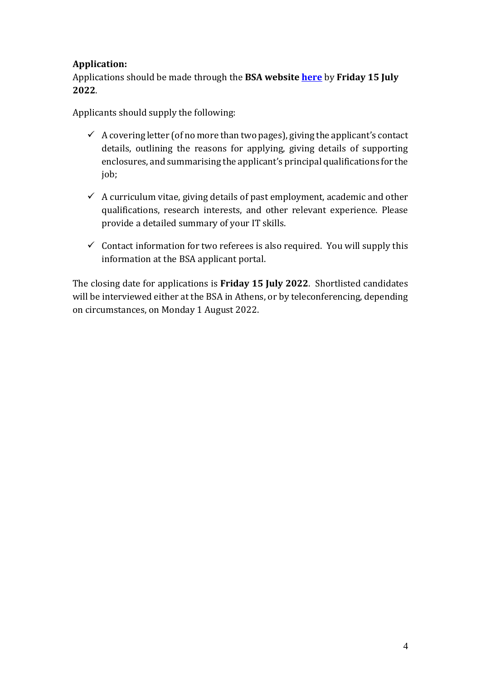## **Application:**

Applications should be made through the **BSA website [here](https://www.bsa.ac.uk/?p=18016)** by **Friday 15 July 2022**.

Applicants should supply the following:

- $\checkmark$  A covering letter (of no more than two pages), giving the applicant's contact details, outlining the reasons for applying, giving details of supporting enclosures, and summarising the applicant's principal qualifications for the job;
- $\checkmark$  A curriculum vitae, giving details of past employment, academic and other qualifications, research interests, and other relevant experience. Please provide a detailed summary of your IT skills.
- $\checkmark$  Contact information for two referees is also required. You will supply this information at the BSA applicant portal.

The closing date for applications is **Friday 15 July 2022**. Shortlisted candidates will be interviewed either at the BSA in Athens, or by teleconferencing, depending on circumstances, on Monday 1 August 2022.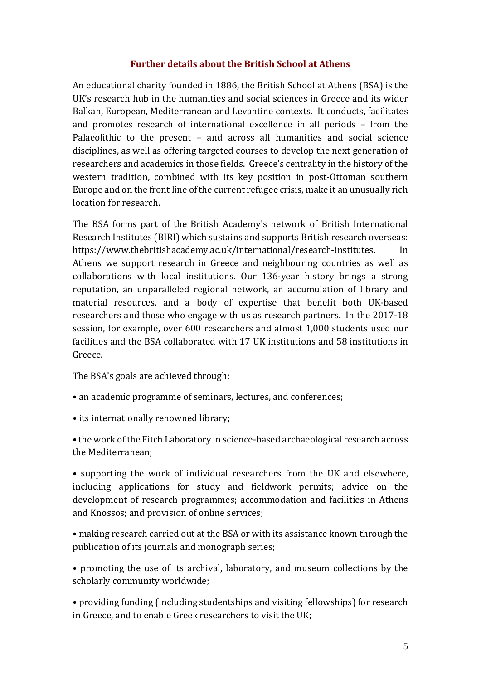#### **Further details about the British School at Athens**

An educational charity founded in 1886, the British School at Athens (BSA) is the UK's research hub in the humanities and social sciences in Greece and its wider Balkan, European, Mediterranean and Levantine contexts. It conducts, facilitates and promotes research of international excellence in all periods – from the Palaeolithic to the present – and across all humanities and social science disciplines, as well as offering targeted courses to develop the next generation of researchers and academics in those fields. Greece's centrality in the history of the western tradition, combined with its key position in post-Ottoman southern Europe and on the front line of the current refugee crisis, make it an unusually rich location for research.

The BSA forms part of the British Academy's network of British International Research Institutes (BIRI) which sustains and supports British research overseas: https://www.thebritishacademy.ac.uk/international/research-institutes. In Athens we support research in Greece and neighbouring countries as well as collaborations with local institutions. Our 136-year history brings a strong reputation, an unparalleled regional network, an accumulation of library and material resources, and a body of expertise that benefit both UK-based researchers and those who engage with us as research partners. In the 2017-18 session, for example, over 600 researchers and almost 1,000 students used our facilities and the BSA collaborated with 17 UK institutions and 58 institutions in Greece.

The BSA's goals are achieved through:

- an academic programme of seminars, lectures, and conferences;
- its internationally renowned library;

• the work of the Fitch Laboratory in science-based archaeological research across the Mediterranean;

• supporting the work of individual researchers from the UK and elsewhere, including applications for study and fieldwork permits; advice on the development of research programmes; accommodation and facilities in Athens and Knossos; and provision of online services;

• making research carried out at the BSA or with its assistance known through the publication of its journals and monograph series;

• promoting the use of its archival, laboratory, and museum collections by the scholarly community worldwide;

• providing funding (including studentships and visiting fellowships) for research in Greece, and to enable Greek researchers to visit the UK;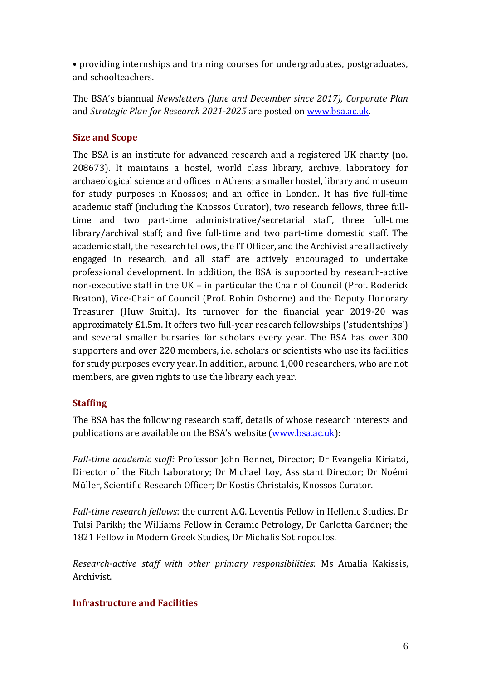• providing internships and training courses for undergraduates, postgraduates, and schoolteachers.

The BSA's biannual *Newsletters (June and December since 2017), Corporate Plan* and *Strategic Plan for Research 2021-2025* are posted on [www.bsa.ac.uk.](http://www.bsa.ac.uk/)

## **Size and Scope**

The BSA is an institute for advanced research and a registered UK charity (no. 208673). It maintains a hostel, world class library, archive, laboratory for archaeological science and offices in Athens; a smaller hostel, library and museum for study purposes in Knossos; and an office in London. It has five full-time academic staff (including the Knossos Curator), two research fellows, three fulltime and two part-time administrative/secretarial staff, three full-time library/archival staff; and five full-time and two part-time domestic staff. The academic staff, the research fellows, the IT Officer, and the Archivist are all actively engaged in research, and all staff are actively encouraged to undertake professional development. In addition, the BSA is supported by research-active non-executive staff in the UK – in particular the Chair of Council (Prof. Roderick Beaton), Vice-Chair of Council (Prof. Robin Osborne) and the Deputy Honorary Treasurer (Huw Smith). Its turnover for the financial year 2019-20 was approximately £1.5m. It offers two full-year research fellowships ('studentships') and several smaller bursaries for scholars every year. The BSA has over 300 supporters and over 220 members, i.e. scholars or scientists who use its facilities for study purposes every year. In addition, around 1,000 researchers, who are not members, are given rights to use the library each year.

### **Staffing**

The BSA has the following research staff, details of whose research interests and publications are available on the BSA's website [\(www.bsa.ac.uk\)](http://www.bsa.ac.uk/):

*Full-time academic staff:* Professor John Bennet, Director; Dr Evangelia Kiriatzi, Director of the Fitch Laboratory; Dr Michael Loy, Assistant Director; Dr Noémi Müller, Scientific Research Officer; Dr Kostis Christakis, Knossos Curator.

*Full-time research fellows*: the current A.G. Leventis Fellow in Hellenic Studies, Dr Tulsi Parikh; the Williams Fellow in Ceramic Petrology, Dr Carlotta Gardner; the 1821 Fellow in Modern Greek Studies, Dr Michalis Sotiropoulos.

*Research-active staff with other primary responsibilities*: Ms Amalia Kakissis, Archivist.

# **Infrastructure and Facilities**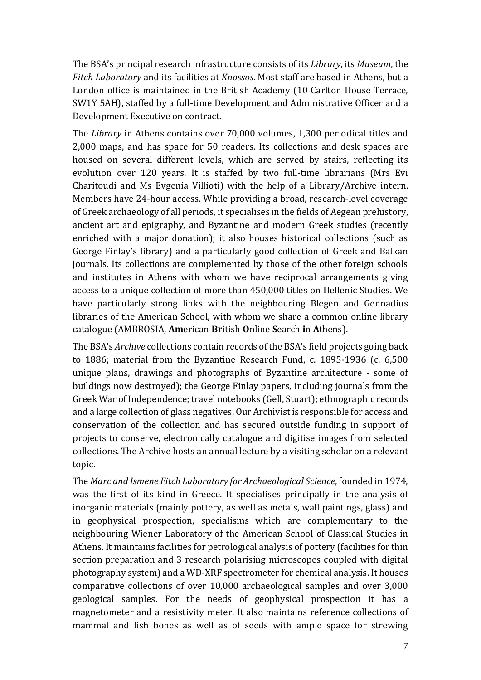The BSA's principal research infrastructure consists of its *Library,* its *Museum*, the *Fitch Laboratory* and its facilities at *Knossos*. Most staff are based in Athens, but a London office is maintained in the British Academy (10 Carlton House Terrace, SW1Y 5AH), staffed by a full-time Development and Administrative Officer and a Development Executive on contract.

The *Library* in Athens contains over 70,000 volumes, 1,300 periodical titles and 2,000 maps, and has space for 50 readers. Its collections and desk spaces are housed on several different levels, which are served by stairs, reflecting its evolution over 120 years. It is staffed by two full-time librarians (Mrs Evi Charitoudi and Ms Evgenia Villioti) with the help of a Library/Archive intern. Members have 24-hour access. While providing a broad, research-level coverage of Greek archaeology of all periods, it specialises in the fields of Aegean prehistory, ancient art and epigraphy, and Byzantine and modern Greek studies (recently enriched with a major donation); it also houses historical collections (such as George Finlay's library) and a particularly good collection of Greek and Balkan journals. Its collections are complemented by those of the other foreign schools and institutes in Athens with whom we have reciprocal arrangements giving access to a unique collection of more than 450,000 titles on Hellenic Studies. We have particularly strong links with the neighbouring Blegen and Gennadius libraries of the American School, with whom we share a common online library catalogue (AMBROSIA, **Am**erican **Br**itish **O**nline **S**earch **i**n **A**thens).

The BSA's *Archive* collections contain records of the BSA's field projects going back to 1886; material from the Byzantine Research Fund, c. 1895-1936 (c. 6,500 unique plans, drawings and photographs of Byzantine architecture - some of buildings now destroyed); the George Finlay papers, including journals from the Greek War of Independence; travel notebooks (Gell, Stuart); ethnographic records and a large collection of glass negatives. Our Archivist is responsible for access and conservation of the collection and has secured outside funding in support of projects to conserve, electronically catalogue and digitise images from selected collections. The Archive hosts an annual lecture by a visiting scholar on a relevant topic.

The *Marc and Ismene Fitch Laboratory for Archaeological Science*, founded in 1974, was the first of its kind in Greece. It specialises principally in the analysis of inorganic materials (mainly pottery, as well as metals, wall paintings, glass) and in geophysical prospection, specialisms which are complementary to the neighbouring Wiener Laboratory of the American School of Classical Studies in Athens. It maintains facilities for petrological analysis of pottery (facilities for thin section preparation and 3 research polarising microscopes coupled with digital photography system) and a WD-XRF spectrometer for chemical analysis. It houses comparative collections of over 10,000 archaeological samples and over 3,000 geological samples. For the needs of geophysical prospection it has a magnetometer and a resistivity meter. It also maintains reference collections of mammal and fish bones as well as of seeds with ample space for strewing